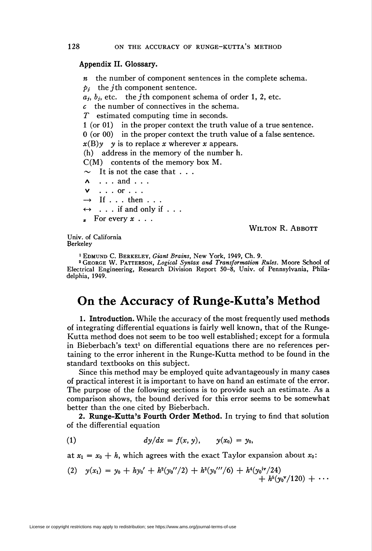## Appendix II. Glossary.

 $n$  the number of component sentences in the complete schema.  $p_i$  the *j*th component sentence.  $a_j$ ,  $b_j$ , etc. the *j*th component schema of order 1, 2, etc.  $c$  the number of connectives in the schema. T estimated computing time in seconds. 1 (or 01) in the proper context the truth value of a true sentence. 0 (or 00) in the proper context the truth value of a false sentence.  $x(B)y$  y is to replace x wherever x appears. (h) address in the memory of the number h.  $C(M)$  contents of the memory box M.  $\sim$  It is not the case that . . .  $\lambda$  . . . and . . . v . . . or . . .  $\rightarrow$  If . . . then . . .  $\leftrightarrow \dots$  if and only if  $\dots$  $\int$  For every  $x \ldots$ Wilton R. Abbott

Univ. of California Berkeley

1 Edmund C. Berkeley, Giant Brains, New York, 1949, Ch. 9.

2 George W. Patterson, Logical Syntax and Transformation Rules. Moore School of Electrical Engineering, Research Division Report 50-8, Univ. of Pennsylvania, Philadelphia, 1949.

## On the Accuracy of Runge-Kutta's Method

1. Introduction. While the accuracy of the most frequently used methods of integrating differential equations is fairly well known, that of the Runge-Kutta method does not seem to be too well established ; except for a formula in Bieberbach's text<sup>1</sup> on differential equations there are no references pertaining to the error inherent in the Runge-Kutta method to be found in the standard textbooks on this subject.

Since this method may be employed quite advantageously in many cases of practical interest it is important to have on hand an estimate of the error. The purpose of the following sections is to provide such an estimate. As a comparison shows, the bound derived for this error seems to be somewhat better than the one cited by Bieberbach.

2. Runge-Kutta's Fourth Order Method. In trying to find that solution of the differential equation

(1) 
$$
dy/dx = f(x, y), \qquad y(x_0) = y_0,
$$

at  $x_1 = x_0 + h$ , which agrees with the exact Taylor expansion about  $x_0$ :

(2) 
$$
y(x_1) = y_0 + hy_0' + h^2(y_0''/2) + h^3(y_0''''/6) + h^4(y_0' \nu^2/24) + h^5(y_0 \nu^2/120) + \cdots
$$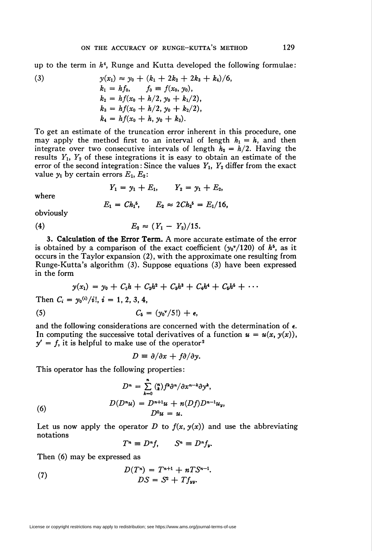up to the term in  $h^4$ , Runge and Kutta developed the following formulae:

(3) 
$$
y(x_1) \approx y_0 + (k_1 + 2k_2 + 2k_3 + k_4)/6,
$$

$$
k_1 = hf_0, \qquad f_0 = f(x_0, y_0),
$$

$$
k_2 = hf(x_0 + h/2, y_0 + k_1/2),
$$

$$
k_3 = hf(x_0 + h/2, y_0 + k_2/2),
$$

$$
k_4 = hf(x_0 + h, y_0 + k_3).
$$

To get an estimate of the truncation error inherent in this procedure, one may apply the method first to an interval of length  $h_1 = h$ , and then integrate over two consecutive intervals of length  $h_2 = h/2$ . Having the results  $Y_1$ ,  $Y_2$  of these integrations it is easy to obtain an estimate of the error of the second integration: Since the values  $Y_1$ ,  $Y_2$  differ from the exact value  $y_1$  by certain errors  $E_1, E_2$ :

$$
Y_1 = y_1 + E_1, \qquad Y_2 = y_1 + E_2,
$$

where

$$
E_1 = Ch_1^5, \qquad E_2 \approx 2Ch_2^5 = E_1/16,
$$

obviously

(4) 
$$
E_2 \approx (Y_1 - Y_2)/15.
$$

3. Calculation of the Error Term. A more accurate estimate of the error is obtained by a comparison of the exact coefficient  $(y_0^{\nu}/120)$  of  $h^5$ , as it occurs in the Taylor expansion (2), with the approximate one resulting from Runge-Kutta's algorithm (3). Suppose equations (3) have been expressed in the form

$$
y(x_1) = y_0 + C_1h + C_2h^2 + C_3h^3 + C_4h^4 + C_5h^5 + \cdots
$$
  
Then  $C_1 = y_1(i)/i$ ,  $i = 1, 2, 3, 4$ 

Then  $C_i = y_0^{(i)}/i!$ ,  $i = 1, 2, 3, 4$ ,

$$
C_5 = (y_0^{\mathbf{v}}/5!) + \epsilon,
$$

and the following considerations are concerned with the determination of  $\epsilon$ . In computing the successive total derivatives of a function  $u = u(x, y(x))$ ,  $y' = f$ , it is helpful to make use of the operator<sup>2</sup>

$$
D\equiv \partial/\partial x + f\partial/\partial y.
$$

This operator has the following properties:

(6)  
\n
$$
D^{n} = \sum_{k=0}^{n} \binom{n}{k} f^{k} \partial^{n} / \partial x^{n-k} \partial y^{k},
$$
\n
$$
D(D^{n}u) = D^{n+1}u + n(Df)D^{n-1}u_{y},
$$
\n
$$
D^{0}u = u.
$$

Let us now apply the operator D to  $f(x, y(x))$  and use the abbreviating notations

 $T^n \equiv D^n f$ ,  $S^n \equiv D^n f_y$ .

Then (6) may be expressed as

(7) 
$$
D(T^{n}) = T^{n+1} + nTS^{n-1}.
$$

$$
DS = S^{2} + Tf_{\text{uv}}.
$$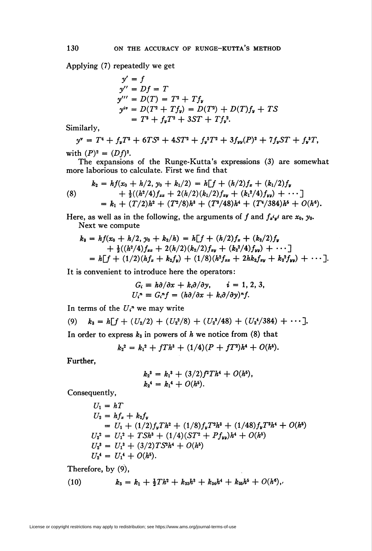Applying (7) repeatedly we get

$$
y' = f
$$
  
\n
$$
y'' = Df = T
$$
  
\n
$$
y''' = D(T) = T^2 + Tf_y
$$
  
\n
$$
y^{iv} = D(T^2 + Tf_y) = D(T^2) + D(T)f_y + TS
$$
  
\n
$$
= T^3 + f_yT^2 + 3ST + Tf_y^2.
$$

Similarly,

$$
y^{\mathbf{v}} = T^4 + f_{\mathbf{v}} T^3 + 6TS^2 + 4ST^2 + f_{\mathbf{v}}^2 T^2 + 3f_{\mathbf{v}\mathbf{v}}(P)^2 + 7f_{\mathbf{v}} ST + f_{\mathbf{v}}^3 T,
$$
  
the (D)<sub>2</sub> = (D)2

with  $(P)^2 = (Df)^2$ .

The expansions of the Runge-Kutta's expressions (3) are somewhat more laborious to calculate. First we find that

(8) 
$$
k_2 = hf(x_0 + h/2, y_0 + k_1/2) = h[f + (h/2)f_x + (k_1/2)f_y + \frac{1}{2}((h^2/4)f_{xx} + 2(h/2)(k_1/2)f_{xy} + (k_1^2/4)f_{yy}) + \cdots ]
$$

$$
= k_1 + (T/2)h^2 + (T^2/8)h^3 + (T^3/48)h^4 + (T^4/384)h^5 + O(h^6).
$$

Here, as well as in the following, the arguments of f and  $f_x \phi_i$  are  $x_0$ ,  $y_0$ . Next we compute

$$
k_3 = hf(x_0 + h/2, y_0 + k_2/h) = h[f + (h/2)f_x + (k_2/2)f_y
$$
  
+  $\frac{1}{2}((h^2/4)f_{xx} + 2(h/2)(k_2/2)f_{xy} + (k_2^2/4)f_{yy}) + \cdots ]$   
=  $h[f + (1/2)(hf_x + k_2f_y) + (1/8)(h^2f_{xz} + 2hk_2f_{xy} + k_2^2f_{yy}) + \cdots ].$ 

It is convenient to introduce here the operators:

$$
G_i \equiv h \partial / \partial x + k_i \partial / \partial y, \qquad i = 1, 2, 3, U_i^n \equiv G_i^n f = (h \partial / \partial x + k_i \partial / \partial y)^n f.
$$

In terms of the  $U_i^n$  we may write

(9) 
$$
k_3 = h[f + (U_2/2) + (U_2^2/8) + (U_2^3/48) + (U_2^4/384) + \cdots].
$$

In order to express  $k_3$  in powers of h we notice from (8) that

$$
k_2^2 = k_1^2 + fTh^3 + (1/4)(P + fT^2)h^4 + O(h^5).
$$

Further,

$$
k_2^3 = k_1^3 + (3/2) f^2 T h^4 + O(h^5),
$$
  

$$
k_2^4 = k_1^4 + O(h^5).
$$

Consequently,

$$
U_1 = hT
$$
  
\n
$$
U_2 = hf_x + k_2f_y
$$
  
\n
$$
= U_1 + (1/2)f_yTh^2 + (1/8)f_yT^2h^3 + (1/48)f_yT^3h^4 + O(h^5)
$$
  
\n
$$
U_2^2 = U_1^2 + TSh^3 + (1/4)(ST^2 + Pf_{yy})h^4 + O(h^5)
$$
  
\n
$$
U_2^3 = U_1^3 + (3/2)TS^2h^4 + O(h^5)
$$
  
\n
$$
U_2^4 = U_1^4 + O(h^5).
$$

Therefore, by (9),

(10) 
$$
k_3 = k_1 + \frac{1}{2}Th^2 + k_{33}h^3 + k_{34}h^4 + k_{35}h^5 + O(h^6),
$$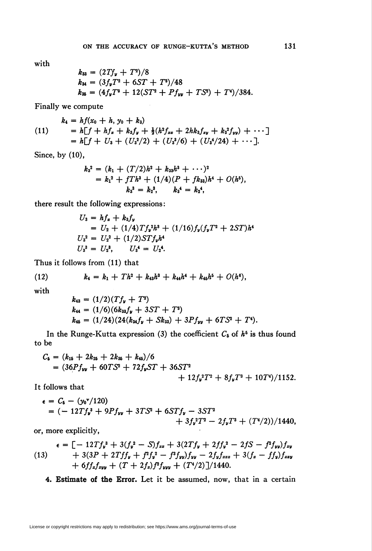with

$$
k_{33} = (2Tf_{\nu} + T^2)/8
$$
  
\n
$$
k_{34} = (3f_{\nu}T^2 + 6ST + T^3)/48
$$
  
\n
$$
k_{35} = (4f_{\nu}T^3 + 12(ST^2 + Pf_{\nu\nu} + TS^2) + T^4)/384
$$

Finally we compute

$$
k_4 = hf(x_0 + h, y_0 + k_3)
$$
  
\n
$$
= h[f + hf_x + k_3f_y + \frac{1}{2}(h^2f_{xx} + 2hk_3f_{xy} + k_3^2f_{yy}) + \cdots]
$$
  
\n
$$
= h[f + U_3 + (U_3^2/2) + (U_3^3/6) + (U_3^4/24) + \cdots].
$$

 $\bar{\alpha}$ 

Since, by (10),

$$
k_3^2 = (k_1 + (T/2)h^2 + k_{33}h^3 + \cdots)^2
$$
  
=  $k_1^2 + fTh^3 + (1/4)(P + fk_{33})h^4 + O(h^5),$   
 $k_3^3 = k_2^3, \qquad k_3^4 = k_2^4,$ 

there result the following expressions:

$$
U_3 = hf_x + k_3f_y
$$
  
= U<sub>2</sub> + (1/4)Tf<sub>y</sub><sup>2</sup>h<sup>3</sup> + (1/16)f<sub>y</sub>(f<sub>y</sub>T<sup>2</sup> + 2ST)h<sup>4</sup>  
U<sub>3</sub><sup>2</sup> = U<sub>2</sub><sup>2</sup> + (1/2)STf<sub>y</sub>h<sup>4</sup>  
U<sub>3</sub><sup>3</sup> = U<sub>2</sub><sup>3</sup>, U<sub>3</sub><sup>4</sup> = U<sub>2</sub><sup>4</sup>.

Thus it follows from (11) that

(12) 
$$
k_4 = k_1 + Th^2 + k_{43}h^3 + k_{44}h^4 + k_{45}h^5 + O(h^6),
$$

with

$$
k_{43} = (1/2)(Tf_{y} + T^{2})
$$
  
\n
$$
k_{44} = (1/6)(6k_{33}f_{y} + 3ST + T^{3})
$$
  
\n
$$
k_{45} = (1/24)(24(k_{34}f_{y} + Sk_{33}) + 3Pf_{yy} + 6TS^{2} + T^{4}).
$$

In the Runge-Kutta expression (3) the coefficient  $C_5$  of  $h^5$  is thus found to be

$$
C_6 = (k_{16} + 2k_{26} + 2k_{36} + k_{46})/6
$$
  
=  $(36Pf_{yy} + 60TS^2 + 72f_y ST + 36ST^2 + 12f_y^2T^2 + 8f_yT^3 + 10T^4)/1152.$ 

It follows that

$$
\epsilon = C_6 - (y_0^{\nu}/120)
$$
  
= (-12Tf<sub>y</sub><sup>3</sup> + 9Pf<sub>yy</sub> + 3TS<sup>2</sup> + 6STf<sub>y</sub> - 3ST<sup>2</sup>  
+ 3f<sub>y</sub><sup>2</sup>T<sup>2</sup> - 2f<sub>y</sub>T<sup>3</sup> + (T<sup>4</sup>/2))/1440,

or, more explicitly,

$$
\epsilon = [-12Tf_y^3 + 3(f_y^2 - S)f_{xx} + 3(2Tf_y + 2ff_y^2 - 2fS - f^2f_{yy})f_{xy}+ 3(3P + 2Tff_y + f^2f_y^2 - f^3f_{yy})f_{yy} - 2f_yf_{zzz} + 3(f_x - ff_y)f_{zzy}+ 6ff_xf_{zyy} + (T + 2f_x)f^2f_{yyy} + (T^4/2)]/1440.
$$

4. Estimate of the Error. Let it be assumed, now, that in a certain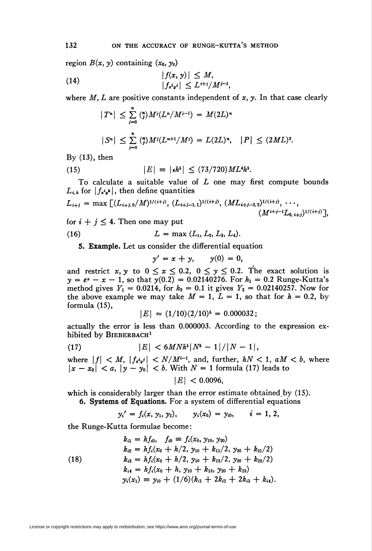region  $B(x, y)$  containing  $(x_0, y_0)$ 

(14) 
$$
\begin{aligned}\n|f(x, y)| &\leq M, \\
|f_{x'y}| &\leq L^{i+j}/M^{i-1}.\n\end{aligned}
$$

where  $M, L$  are positive constants independent of  $x, y$ . In that case clearly

$$
|T^{n}| \leq \sum_{j=0}^{n} \binom{n}{j} M^{j} (L^{n}/M^{j-1}) = M(2L)^{n}
$$
  

$$
|S^{n}| \leq \sum_{j=0}^{n} \binom{n}{j} M^{j} (L^{n+1}/M^{j}) = L(2L)^{n}, \quad |P| \leq (2ML)^{2}.
$$

By  $(13)$ , then

(15) 
$$
|E| = |\epsilon h^5| \leq (73/720)ML^4h^5.
$$

To calculate a suitable value of  $L$  one may first compute bounds  $L_{i,k}$  for  $|f_{x'yk}|$ , then define quantities

$$
L_{i+j} = \max \left[ (L_{i+j,0}/M)^{1/(i+j)}, (L_{i+j-1,1})^{1/(i+j)}, (ML_{i+j-2,2})^{1/(i+j)}, \cdots, (M^{i+j-1}L_{0,i+j})^{1/(i+j)} \right],
$$

for  $i + j \leq 4$ . Then one may put

(16) 
$$
L = \max (L_1, L_2, L_3, L_4).
$$

5. Example. Let us consider the differential equation

$$
y'=x+y, \qquad y(0)=0,
$$

and restrict x, y to  $0 \le x \le 0.2$ ,  $0 \le y \le 0.2$ . The exact solution is  $y = e^x - x - 1$ , so that  $y(0.2) = 0.02140276$ . For  $h_1 = 0.2$  Runge-Kutta's method gives  $Y_1 = 0.0214$ , for  $h_2 = 0.1$  it gives  $Y_2 = 0.02140257$ . Now for the above example we may take  $M = 1$ ,  $L = 1$ , so that for  $h = 0.2$ , by formula (15),

$$
|E| \approx (1/10)(2/10)^5 = 0.000032;
$$

actually the error is less than 0.000003. According to the expression exhibited by BIEBERBACH<sup>1</sup>

(17) 
$$
|E| < 6MNh^{5}|N^{5}-1|/|N-1|,
$$

where  $|f| < M$ ,  $|f_{x'y'}| < N/M^{i-1}$ , and, further,  $hN < 1$ ,  $aM < b$ , where  $|x - x_0| < a$ ,  $|y - y_0| < b$ . With  $N = 1$  formula (17) leads to

$$
|E|<0.0096,
$$

which is considerably larger than the error estimate obtained by  $(15)$ . 6. Systems of Equations. For a system of differential equations

$$
y_i' = f_i(x, y_1, y_2), \qquad y_i(x_0) = y_{i0}, \qquad i = 1, 2,
$$

the Runge-Kutta formulae become:

(18)  
\n
$$
k_{i1} = hf_{i0}, \quad f_{i0} \equiv f_i(x_0, y_{10}, y_{20})
$$
\n
$$
k_{i2} = hf_i(x_0 + h/2, y_{10} + k_{11}/2, y_{20} + k_{21}/2)
$$
\n
$$
k_{i3} = hf_i(x_0 + h/2, y_{10} + k_{12}/2, y_{20} + k_{22}/2)
$$
\n
$$
k_{i4} = hf_i(x_0 + h, y_{10} + k_{13}, y_{20} + k_{23})
$$
\n
$$
y_i(x_1) \equiv y_{i0} + (1/6)(k_{i1} + 2k_{i2} + 2k_{i3} + k_{i4}).
$$